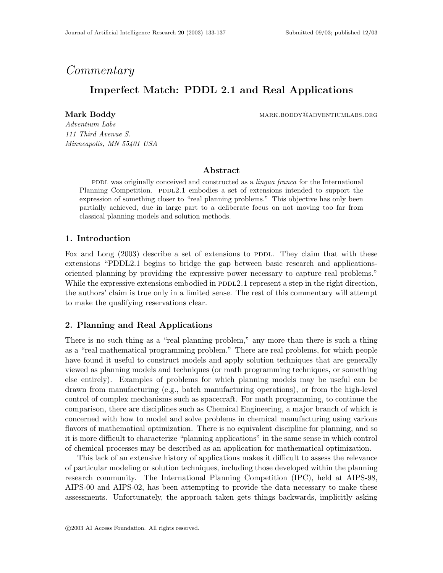# Commentary

# Imperfect Match: PDDL 2.1 and Real Applications

Mark Boddy **mark.boddy** mark.boddy mark.boddy mark.boddy mark.boddy mark.boddy market market and market market m

Adventium Labs 111 Third Avenue S. Minneapolis, MN 55401 USA

# Abstract

pddl was originally conceived and constructed as a *lingua franca* for the International Planning Competition. PDDL2.1 embodies a set of extensions intended to support the expression of something closer to "real planning problems." This objective has only been partially achieved, due in large part to a deliberate focus on not moving too far from classical planning models and solution methods.

## 1. Introduction

Fox and Long  $(2003)$  describe a set of extensions to PDDL. They claim that with these extensions "PDDL2.1 begins to bridge the gap between basic research and applicationsoriented planning by providing the expressive power necessary to capture real problems." While the expressive extensions embodied in  $PDDL2.1$  represent a step in the right direction, the authors' claim is true only in a limited sense. The rest of this commentary will attempt to make the qualifying reservations clear.

# 2. Planning and Real Applications

There is no such thing as a "real planning problem," any more than there is such a thing as a "real mathematical programming problem." There are real problems, for which people have found it useful to construct models and apply solution techniques that are generally viewed as planning models and techniques (or math programming techniques, or something else entirely). Examples of problems for which planning models may be useful can be drawn from manufacturing (e.g., batch manufacturing operations), or from the high-level control of complex mechanisms such as spacecraft. For math programming, to continue the comparison, there are disciplines such as Chemical Engineering, a major branch of which is concerned with how to model and solve problems in chemical manufacturing using various flavors of mathematical optimization. There is no equivalent discipline for planning, and so it is more difficult to characterize "planning applications" in the same sense in which control of chemical processes may be described as an application for mathematical optimization.

This lack of an extensive history of applications makes it difficult to assess the relevance of particular modeling or solution techniques, including those developed within the planning research community. The International Planning Competition (IPC), held at AIPS-98, AIPS-00 and AIPS-02, has been attempting to provide the data necessary to make these assessments. Unfortunately, the approach taken gets things backwards, implicitly asking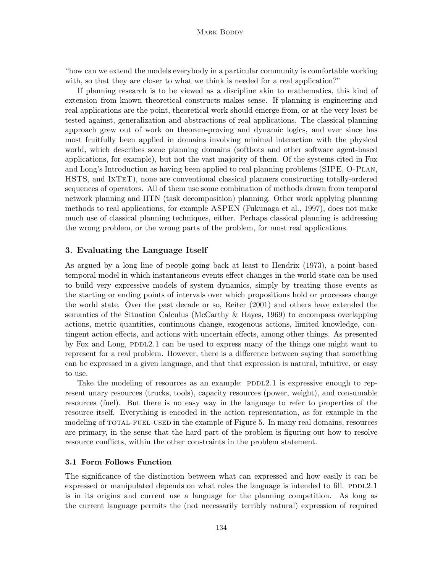#### MARK BODDY

"how can we extend the models everybody in a particular community is comfortable working with, so that they are closer to what we think is needed for a real application?"

If planning research is to be viewed as a discipline akin to mathematics, this kind of extension from known theoretical constructs makes sense. If planning is engineering and real applications are the point, theoretical work should emerge from, or at the very least be tested against, generalization and abstractions of real applications. The classical planning approach grew out of work on theorem-proving and dynamic logics, and ever since has most fruitfully been applied in domains involving minimal interaction with the physical world, which describes some planning domains (softbots and other software agent-based applications, for example), but not the vast majority of them. Of the systems cited in Fox and Long's Introduction as having been applied to real planning problems (SIPE, O-PLAN, HSTS, and IxTeT), none are conventional classical planners constructing totally-ordered sequences of operators. All of them use some combination of methods drawn from temporal network planning and HTN (task decomposition) planning. Other work applying planning methods to real applications, for example ASPEN (Fukunaga et al., 1997), does not make much use of classical planning techniques, either. Perhaps classical planning is addressing the wrong problem, or the wrong parts of the problem, for most real applications.

## 3. Evaluating the Language Itself

As argued by a long line of people going back at least to Hendrix (1973), a point-based temporal model in which instantaneous events effect changes in the world state can be used to build very expressive models of system dynamics, simply by treating those events as the starting or ending points of intervals over which propositions hold or processes change the world state. Over the past decade or so, Reiter (2001) and others have extended the semantics of the Situation Calculus (McCarthy & Hayes, 1969) to encompass overlapping actions, metric quantities, continuous change, exogenous actions, limited knowledge, contingent action effects, and actions with uncertain effects, among other things. As presented by Fox and Long, PDDL2.1 can be used to express many of the things one might want to represent for a real problem. However, there is a difference between saying that something can be expressed in a given language, and that that expression is natural, intuitive, or easy to use.

Take the modeling of resources as an example:  $PDDL2.1$  is expressive enough to represent unary resources (trucks, tools), capacity resources (power, weight), and consumable resources (fuel). But there is no easy way in the language to refer to properties of the resource itself. Everything is encoded in the action representation, as for example in the modeling of TOTAL-FUEL-USED in the example of Figure 5. In many real domains, resources are primary, in the sense that the hard part of the problem is figuring out how to resolve resource conflicts, within the other constraints in the problem statement.

## 3.1 Form Follows Function

The significance of the distinction between what can expressed and how easily it can be expressed or manipulated depends on what roles the language is intended to fill.  $PDDL2.1$ is in its origins and current use a language for the planning competition. As long as the current language permits the (not necessarily terribly natural) expression of required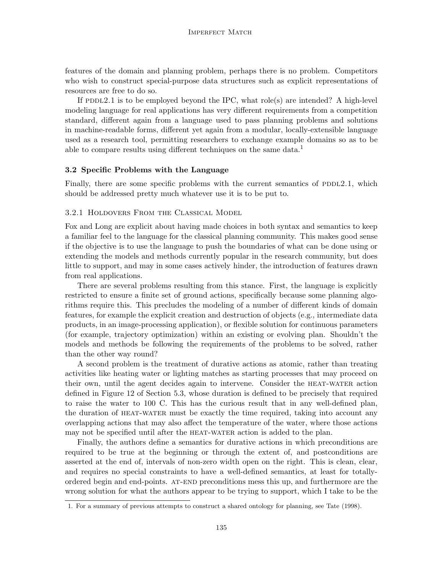features of the domain and planning problem, perhaps there is no problem. Competitors who wish to construct special-purpose data structures such as explicit representations of resources are free to do so.

If PDDL2.1 is to be employed beyond the IPC, what role(s) are intended? A high-level modeling language for real applications has very different requirements from a competition standard, different again from a language used to pass planning problems and solutions in machine-readable forms, different yet again from a modular, locally-extensible language used as a research tool, permitting researchers to exchange example domains so as to be able to compare results using different techniques on the same data.<sup>1</sup>

#### 3.2 Specific Problems with the Language

Finally, there are some specific problems with the current semantics of PDDL2.1, which should be addressed pretty much whatever use it is to be put to.

#### 3.2.1 Holdovers From the Classical Model

Fox and Long are explicit about having made choices in both syntax and semantics to keep a familiar feel to the language for the classical planning community. This makes good sense if the objective is to use the language to push the boundaries of what can be done using or extending the models and methods currently popular in the research community, but does little to support, and may in some cases actively hinder, the introduction of features drawn from real applications.

There are several problems resulting from this stance. First, the language is explicitly restricted to ensure a finite set of ground actions, specifically because some planning algorithms require this. This precludes the modeling of a number of different kinds of domain features, for example the explicit creation and destruction of objects (e.g., intermediate data products, in an image-processing application), or flexible solution for continuous parameters (for example, trajectory optimization) within an existing or evolving plan. Shouldn't the models and methods be following the requirements of the problems to be solved, rather than the other way round?

A second problem is the treatment of durative actions as atomic, rather than treating activities like heating water or lighting matches as starting processes that may proceed on their own, until the agent decides again to intervene. Consider the HEAT-WATER action defined in Figure 12 of Section 5.3, whose duration is defined to be precisely that required to raise the water to 100 C. This has the curious result that in any well-defined plan, the duration of heat-water must be exactly the time required, taking into account any overlapping actions that may also affect the temperature of the water, where those actions may not be specified until after the HEAT-WATER action is added to the plan.

Finally, the authors define a semantics for durative actions in which preconditions are required to be true at the beginning or through the extent of, and postconditions are asserted at the end of, intervals of non-zero width open on the right. This is clean, clear, and requires no special constraints to have a well-defined semantics, at least for totallyordered begin and end-points. at-end preconditions mess this up, and furthermore are the wrong solution for what the authors appear to be trying to support, which I take to be the

<sup>1.</sup> For a summary of previous attempts to construct a shared ontology for planning, see Tate (1998).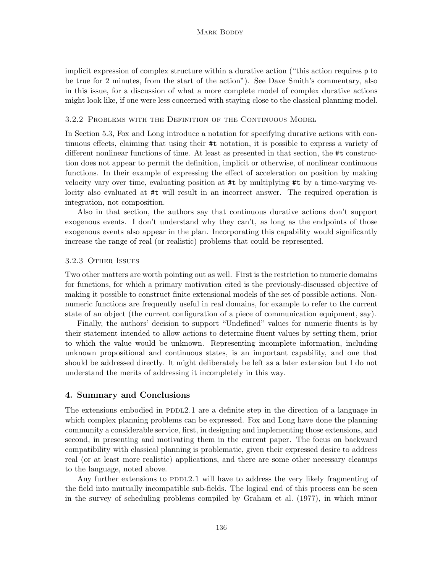implicit expression of complex structure within a durative action ("this action requires p to be true for 2 minutes, from the start of the action"). See Dave Smith's commentary, also in this issue, for a discussion of what a more complete model of complex durative actions might look like, if one were less concerned with staying close to the classical planning model.

#### 3.2.2 Problems with the Definition of the Continuous Model

In Section 5.3, Fox and Long introduce a notation for specifying durative actions with continuous effects, claiming that using their #t notation, it is possible to express a variety of different nonlinear functions of time. At least as presented in that section, the #t construction does not appear to permit the definition, implicit or otherwise, of nonlinear continuous functions. In their example of expressing the effect of acceleration on position by making velocity vary over time, evaluating position at #t by multiplying #t by a time-varying velocity also evaluated at #t will result in an incorrect answer. The required operation is integration, not composition.

Also in that section, the authors say that continuous durative actions don't support exogenous events. I don't understand why they can't, as long as the endpoints of those exogenous events also appear in the plan. Incorporating this capability would significantly increase the range of real (or realistic) problems that could be represented.

#### 3.2.3 Other Issues

Two other matters are worth pointing out as well. First is the restriction to numeric domains for functions, for which a primary motivation cited is the previously-discussed objective of making it possible to construct finite extensional models of the set of possible actions. Nonnumeric functions are frequently useful in real domains, for example to refer to the current state of an object (the current configuration of a piece of communication equipment, say).

Finally, the authors' decision to support "Undefined" values for numeric fluents is by their statement intended to allow actions to determine fluent values by setting them, prior to which the value would be unknown. Representing incomplete information, including unknown propositional and continuous states, is an important capability, and one that should be addressed directly. It might deliberately be left as a later extension but I do not understand the merits of addressing it incompletely in this way.

# 4. Summary and Conclusions

The extensions embodied in PDDL2.1 are a definite step in the direction of a language in which complex planning problems can be expressed. Fox and Long have done the planning community a considerable service, first, in designing and implementing those extensions, and second, in presenting and motivating them in the current paper. The focus on backward compatibility with classical planning is problematic, given their expressed desire to address real (or at least more realistic) applications, and there are some other necessary cleanups to the language, noted above.

Any further extensions to  $PDD2.1$  will have to address the very likely fragmenting of the field into mutually incompatible sub-fields. The logical end of this process can be seen in the survey of scheduling problems compiled by Graham et al. (1977), in which minor